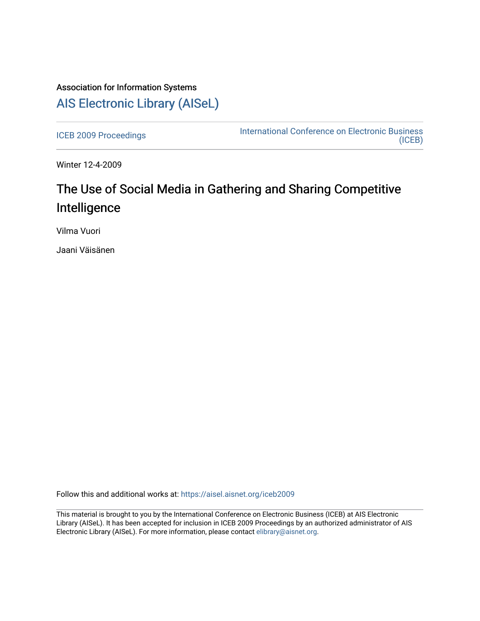## Association for Information Systems [AIS Electronic Library \(AISeL\)](https://aisel.aisnet.org/)

[ICEB 2009 Proceedings](https://aisel.aisnet.org/iceb2009) **International Conference on Electronic Business** [\(ICEB\)](https://aisel.aisnet.org/iceb) 

Winter 12-4-2009

# The Use of Social Media in Gathering and Sharing Competitive Intelligence

Vilma Vuori

Jaani Väisänen

Follow this and additional works at: [https://aisel.aisnet.org/iceb2009](https://aisel.aisnet.org/iceb2009?utm_source=aisel.aisnet.org%2Ficeb2009%2F6&utm_medium=PDF&utm_campaign=PDFCoverPages)

This material is brought to you by the International Conference on Electronic Business (ICEB) at AIS Electronic Library (AISeL). It has been accepted for inclusion in ICEB 2009 Proceedings by an authorized administrator of AIS Electronic Library (AISeL). For more information, please contact [elibrary@aisnet.org.](mailto:elibrary@aisnet.org%3E)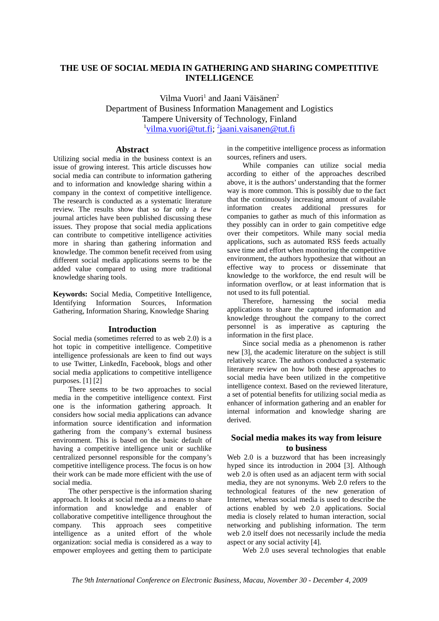## **THE USE OF SOCIAL MEDIA IN GATHERING AND SHARING COMPETITIVE INTELLIGENCE**

Vilma Vuori<sup>1</sup> and Jaani Väisänen<sup>2</sup> Department of Business Information Management and Logistics Tampere University of Technology, Finland <sup>1</sup>vilma.vuori@tut.fi; <sup>2</sup>jaani.vaisanen@tut.fi

## **Abstract**

Utilizing social media in the business context is an issue of growing interest. This article discusses how social media can contribute to information gathering and to information and knowledge sharing within a company in the context of competitive intelligence. The research is conducted as a systematic literature review. The results show that so far only a few journal articles have been published discussing these issues. They propose that social media applications can contribute to competitive intelligence activities more in sharing than gathering information and knowledge. The common benefit received from using different social media applications seems to be the added value compared to using more traditional knowledge sharing tools.

**Keywords:** Social Media, Competitive Intelligence, Identifying Information Sources, Information Gathering, Information Sharing, Knowledge Sharing

### **Introduction**

Social media (sometimes referred to as web 2.0) is a hot topic in competitive intelligence. Competitive intelligence professionals are keen to find out ways to use Twitter, LinkedIn, Facebook, blogs and other social media applications to competitive intelligence purposes. [1] [2]

There seems to be two approaches to social media in the competitive intelligence context. First one is the information gathering approach. It considers how social media applications can advance information source identification and information gathering from the company's external business environment. This is based on the basic default of having a competitive intelligence unit or suchlike centralized personnel responsible for the company's competitive intelligence process. The focus is on how their work can be made more efficient with the use of social media.

The other perspective is the information sharing approach. It looks at social media as a means to share information and knowledge and enabler of collaborative competitive intelligence throughout the company. This approach sees competitive intelligence as a united effort of the whole organization: social media is considered as a way to empower employees and getting them to participate

in the competitive intelligence process as information sources, refiners and users.

While companies can utilize social media according to either of the approaches described above, it is the authors' understanding that the former way is more common. This is possibly due to the fact that the continuously increasing amount of available information creates additional pressures for companies to gather as much of this information as they possibly can in order to gain competitive edge over their competitors. While many social media applications, such as automated RSS feeds actually save time and effort when monitoring the competitive environment, the authors hypothesize that without an effective way to process or disseminate that knowledge to the workforce, the end result will be information overflow, or at least information that is not used to its full potential.

Therefore, harnessing the social media applications to share the captured information and knowledge throughout the company to the correct personnel is as imperative as capturing the information in the first place.

Since social media as a phenomenon is rather new [3], the academic literature on the subject is still relatively scarce. The authors conducted a systematic literature review on how both these approaches to social media have been utilized in the competitive intelligence context. Based on the reviewed literature, a set of potential benefits for utilizing social media as enhancer of information gathering and an enabler for internal information and knowledge sharing are derived.

## **Social media makes its way from leisure to business**

Web 2.0 is a buzzword that has been increasingly hyped since its introduction in 2004 [3]. Although web 2.0 is often used as an adjacent term with social media, they are not synonyms. Web 2.0 refers to the technological features of the new generation of Internet, whereas social media is used to describe the actions enabled by web 2.0 applications. Social media is closely related to human interaction, social networking and publishing information. The term web 2.0 itself does not necessarily include the media aspect or any social activity [4].

Web 2.0 uses several technologies that enable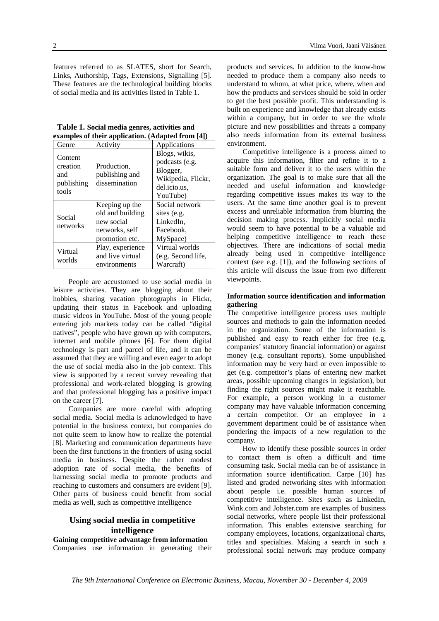features referred to as SLATES, short for Search, Links, Authorship, Tags, Extensions, Signalling [5]. These features are the technological building blocks of social media and its activities listed in Table 1.

 **Table 1. Social media genres, activities and examples of their application. (Adapted from [4])**

| Genre                                             | Activity                                                                             | Applications                                                                                  |
|---------------------------------------------------|--------------------------------------------------------------------------------------|-----------------------------------------------------------------------------------------------|
| Content<br>creation<br>and<br>publishing<br>tools | Production,<br>publishing and<br>dissemination                                       | Blogs, wikis,<br>podcasts (e.g.<br>Blogger,<br>Wikipedia, Flickr,<br>del.icio.us,<br>YouTube) |
| Social<br>networks                                | Keeping up the<br>old and building<br>new social<br>networks, self<br>promotion etc. | Social network<br>sites (e.g.<br>LinkedIn.<br>Facebook.<br>MySpace)                           |
| Virtual<br>worlds                                 | Play, experience<br>and live virtual<br>environments                                 | Virtual worlds<br>(e.g. Second life,<br>Warcraft)                                             |

People are accustomed to use social media in leisure activities. They are blogging about their hobbies, sharing vacation photographs in Flickr, updating their status in Facebook and uploading music videos in YouTube. Most of the young people entering job markets today can be called "digital natives", people who have grown up with computers, internet and mobile phones [6]. For them digital technology is part and parcel of life, and it can be assumed that they are willing and even eager to adopt the use of social media also in the job context. This view is supported by a recent survey revealing that professional and work-related blogging is growing and that professional blogging has a positive impact on the career [7].

Companies are more careful with adopting social media. Social media is acknowledged to have potential in the business context, but companies do not quite seem to know how to realize the potential [8]. Marketing and communication departments have been the first functions in the frontiers of using social media in business. Despite the rather modest adoption rate of social media, the benefits of harnessing social media to promote products and reaching to customers and consumers are evident [9]. Other parts of business could benefit from social media as well, such as competitive intelligence

## **Using social media in competitive intelligence**

**Gaining competitive advantage from information**  Companies use information in generating their products and services. In addition to the know-how needed to produce them a company also needs to understand to whom, at what price, where, when and how the products and services should be sold in order to get the best possible profit. This understanding is built on experience and knowledge that already exists within a company, but in order to see the whole picture and new possibilities and threats a company also needs information from its external business environment.

Competitive intelligence is a process aimed to acquire this information, filter and refine it to a suitable form and deliver it to the users within the organization. The goal is to make sure that all the needed and useful information and knowledge regarding competitive issues makes its way to the users. At the same time another goal is to prevent excess and unreliable information from blurring the decision making process. Implicitly social media would seem to have potential to be a valuable aid helping competitive intelligence to reach these objectives. There are indications of social media already being used in competitive intelligence context (see e.g. [1]), and the following sections of this article will discuss the issue from two different viewpoints.

#### **Information source identification and information gathering**

The competitive intelligence process uses multiple sources and methods to gain the information needed in the organization. Some of the information is published and easy to reach either for free (e.g. companies' statutory financial information) or against money (e.g. consultant reports). Some unpublished information may be very hard or even impossible to get (e.g. competitor's plans of entering new market areas, possible upcoming changes in legislation), but finding the right sources might make it reachable. For example, a person working in a customer company may have valuable information concerning a certain competitor. Or an employee in a government department could be of assistance when pondering the impacts of a new regulation to the company.

How to identify these possible sources in order to contact them is often a difficult and time consuming task. Social media can be of assistance in information source identification. Carpe [10] has listed and graded networking sites with information about people i.e. possible human sources of competitive intelligence. Sites such as LinkedIn, Wink.com and Jobster.com are examples of business social networks, where people list their professional information. This enables extensive searching for company employees, locations, organizational charts, titles and specialties. Making a search in such a professional social network may produce company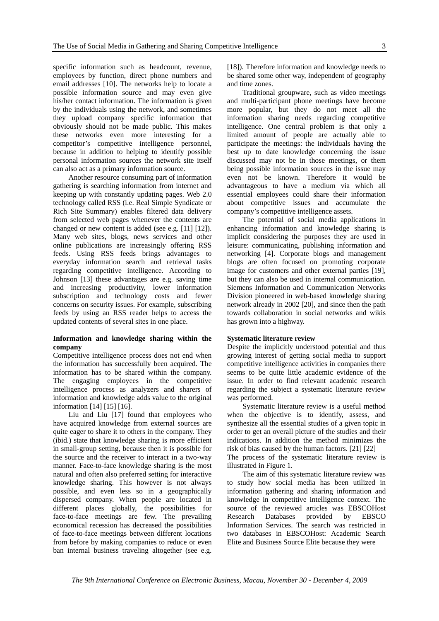specific information such as headcount, revenue, employees by function, direct phone numbers and email addresses [10]. The networks help to locate a possible information source and may even give his/her contact information. The information is given by the individuals using the network, and sometimes they upload company specific information that obviously should not be made public. This makes these networks even more interesting for a competitor's competitive intelligence personnel, because in addition to helping to identify possible personal information sources the network site itself can also act as a primary information source.

Another resource consuming part of information gathering is searching information from internet and keeping up with constantly updating pages. Web 2.0 technology called RSS (i.e. Real Simple Syndicate or Rich Site Summary) enables filtered data delivery from selected web pages whenever the contents are changed or new content is added (see e.g. [11] [12]). Many web sites, blogs, news services and other online publications are increasingly offering RSS feeds. Using RSS feeds brings advantages to everyday information search and retrieval tasks regarding competitive intelligence. According to Johnson [13] these advantages are e.g. saving time and increasing productivity, lower information subscription and technology costs and fewer concerns on security issues. For example, subscribing feeds by using an RSS reader helps to access the updated contents of several sites in one place.

#### **Information and knowledge sharing within the company**

Competitive intelligence process does not end when the information has successfully been acquired. The information has to be shared within the company. The engaging employees in the competitive intelligence process as analyzers and sharers of information and knowledge adds value to the original information [14] [15] [16].

Liu and Liu [17] found that employees who have acquired knowledge from external sources are quite eager to share it to others in the company. They (ibid.) state that knowledge sharing is more efficient in small-group setting, because then it is possible for the source and the receiver to interact in a two-way manner. Face-to-face knowledge sharing is the most natural and often also preferred setting for interactive knowledge sharing. This however is not always possible, and even less so in a geographically dispersed company. When people are located in different places globally, the possibilities for face-to-face meetings are few. The prevailing economical recession has decreased the possibilities of face-to-face meetings between different locations from before by making companies to reduce or even ban internal business traveling altogether (see e.g.

[18]). Therefore information and knowledge needs to be shared some other way, independent of geography and time zones.

Traditional groupware, such as video meetings and multi-participant phone meetings have become more popular, but they do not meet all the information sharing needs regarding competitive intelligence. One central problem is that only a limited amount of people are actually able to participate the meetings: the individuals having the best up to date knowledge concerning the issue discussed may not be in those meetings, or them being possible information sources in the issue may even not be known. Therefore it would be advantageous to have a medium via which all essential employees could share their information about competitive issues and accumulate the company's competitive intelligence assets.

The potential of social media applications in enhancing information and knowledge sharing is implicit considering the purposes they are used in leisure: communicating, publishing information and networking [4]. Corporate blogs and management blogs are often focused on promoting corporate image for customers and other external parties [19], but they can also be used in internal communication. Siemens Information and Communication Networks Division pioneered in web-based knowledge sharing network already in 2002 [20], and since then the path towards collaboration in social networks and wikis has grown into a highway.

#### **Systematic literature review**

Despite the implicitly understood potential and thus growing interest of getting social media to support competitive intelligence activities in companies there seems to be quite little academic evidence of the issue. In order to find relevant academic research regarding the subject a systematic literature review was performed.

Systematic literature review is a useful method when the objective is to identify, assess, and synthesize all the essential studies of a given topic in order to get an overall picture of the studies and their indications. In addition the method minimizes the risk of bias caused by the human factors. [21] [22] The process of the systematic literature review is illustrated in Figure 1.

The aim of this systematic literature review was to study how social media has been utilized in information gathering and sharing information and knowledge in competitive intelligence context. The source of the reviewed articles was EBSCOHost Research Databases provided by EBSCO Information Services. The search was restricted in two databases in EBSCOHost: Academic Search Elite and Business Source Elite because they were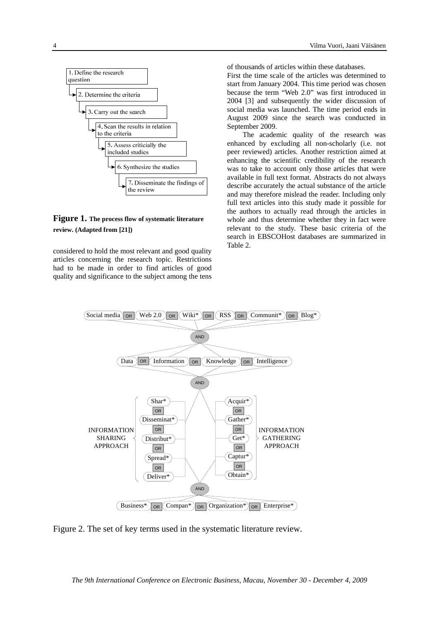

## **Figure 1. The process flow of systematic literature review. (Adapted from [21])**

considered to hold the most relevant and good quality articles concerning the research topic. Restrictions had to be made in order to find articles of good quality and significance to the subject among the tens of thousands of articles within these databases.

First the time scale of the articles was determined to start from January 2004. This time period was chosen because the term "Web 2.0" was first introduced in 2004 [3] and subsequently the wider discussion of social media was launched. The time period ends in August 2009 since the search was conducted in September 2009.

The academic quality of the research was enhanced by excluding all non-scholarly (i.e. not peer reviewed) articles. Another restriction aimed at enhancing the scientific credibility of the research was to take to account only those articles that were available in full text format. Abstracts do not always describe accurately the actual substance of the article and may therefore mislead the reader. Including only full text articles into this study made it possible for the authors to actually read through the articles in whole and thus determine whether they in fact were relevant to the study. These basic criteria of the search in EBSCOHost databases are summarized in Table 2.



Figure 2. The set of key terms used in the systematic literature review.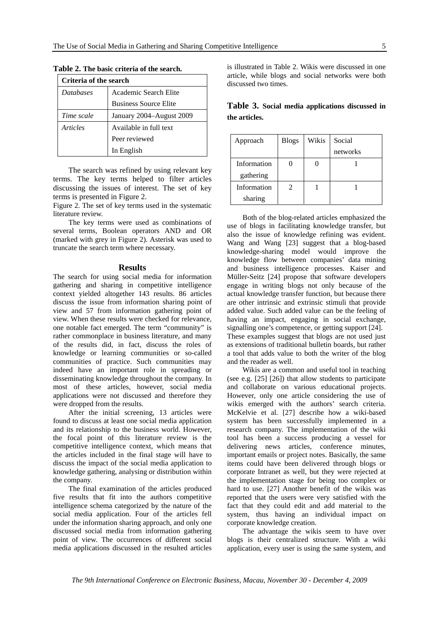| Criteria of the search |                              |  |
|------------------------|------------------------------|--|
| <b>Databases</b>       | Academic Search Elite        |  |
|                        | <b>Business Source Elite</b> |  |
| Time scale             | January 2004-August 2009     |  |
| Articles               | Available in full text       |  |
|                        | Peer reviewed                |  |
|                        | In English                   |  |

**Table 2. The basic criteria of the search.** 

The search was refined by using relevant key terms. The key terms helped to filter articles discussing the issues of interest. The set of key terms is presented in Figure 2.

Figure 2. The set of key terms used in the systematic literature review.

The key terms were used as combinations of several terms, Boolean operators AND and OR (marked with grey in Figure 2). Asterisk was used to truncate the search term where necessary.

#### **Results**

The search for using social media for information gathering and sharing in competitive intelligence context yielded altogether 143 results. 86 articles discuss the issue from information sharing point of view and 57 from information gathering point of view. When these results were checked for relevance, one notable fact emerged. The term "community" is rather commonplace in business literature, and many of the results did, in fact, discuss the roles of knowledge or learning communities or so-called communities of practice. Such communities may indeed have an important role in spreading or disseminating knowledge throughout the company. In most of these articles, however, social media applications were not discussed and therefore they were dropped from the results.

After the initial screening, 13 articles were found to discuss at least one social media application and its relationship to the business world. However, the focal point of this literature review is the competitive intelligence context, which means that the articles included in the final stage will have to discuss the impact of the social media application to knowledge gathering, analysing or distribution within the company.

The final examination of the articles produced five results that fit into the authors competitive intelligence schema categorized by the nature of the social media application. Four of the articles fell under the information sharing approach, and only one discussed social media from information gathering point of view. The occurrences of different social media applications discussed in the resulted articles

is illustrated in Table 2. Wikis were discussed in one article, while blogs and social networks were both discussed two times.

**Table 3. Social media applications discussed in the articles.** 

| Approach    | <b>Blogs</b>                | Wikis | Social   |
|-------------|-----------------------------|-------|----------|
|             |                             |       | networks |
| Information |                             |       |          |
| gathering   |                             |       |          |
| Information | $\mathcal{D}_{\mathcal{L}}$ |       |          |
| sharing     |                             |       |          |

Both of the blog-related articles emphasized the use of blogs in facilitating knowledge transfer, but also the issue of knowledge refining was evident. Wang and Wang [23] suggest that a blog-based knowledge-sharing model would improve the knowledge flow between companies' data mining and business intelligence processes. Kaiser and Müller-Seitz [24] propose that software developers engage in writing blogs not only because of the actual knowledge transfer function, but because there are other intrinsic and extrinsic stimuli that provide added value. Such added value can be the feeling of having an impact, engaging in social exchange, signalling one's competence, or getting support [24]. These examples suggest that blogs are not used just as extensions of traditional bulletin boards, but rather a tool that adds value to both the writer of the blog and the reader as well.

Wikis are a common and useful tool in teaching (see e.g. [25] [26]) that allow students to participate and collaborate on various educational projects. However, only one article considering the use of wikis emerged with the authors' search criteria. McKelvie et al. [27] describe how a wiki-based system has been successfully implemented in a research company. The implementation of the wiki tool has been a success producing a vessel for delivering news articles, conference minutes, important emails or project notes. Basically, the same items could have been delivered through blogs or corporate Intranet as well, but they were rejected at the implementation stage for being too complex or hard to use. [27] Another benefit of the wikis was reported that the users were very satisfied with the fact that they could edit and add material to the system, thus having an individual impact on corporate knowledge creation.

The advantage the wikis seem to have over blogs is their centralized structure. With a wiki application, every user is using the same system, and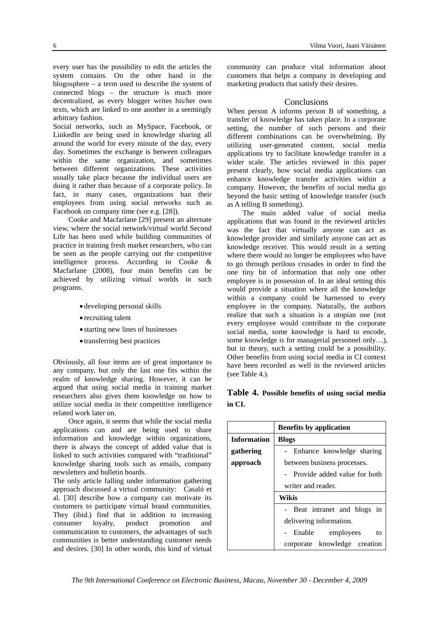every user has the possibility to edit the articles the system contains. On the other hand in the blogosphere – a term used to describe the system of connected blogs – the structure is much more decentralized, as every blogger writes his/her own texts, which are linked to one another in a seemingly arbitrary fashion.

Social networks, such as MySpace, Facebook, or LinkedIn are being used in knowledge sharing all around the world for every minute of the day, every day. Sometimes the exchange is between colleagues within the same organization, and sometimes between different organizations. These activities usually take place because the individual users are doing it rather than because of a corporate policy. In fact, in many cases, organizations ban their employees from using social networks such as Facebook on company time (see e.g. [28]).

Cooke and Macfarlane [29] present an alternate view, where the social network/virtual world Second Life has been used while building communities of practice in training fresh market researchers, who can be seen as the people carrying out the competitive intelligence process. According to Cooke & Macfarlane (2008), four main benefits can be achieved by utilizing virtual worlds in such programs.

- developing personal skills
- recruiting talent
- starting new lines of businesses
- transferring best practices

Obviously, all four items are of great importance to any company, but only the last one fits within the realm of knowledge sharing. However, it can be argued that using social media in training market researchers also gives them knowledge on how to utilize social media in their competitive intelligence related work later on.

Once again, it seems that while the social media applications can and are being used to share information and knowledge within organizations, there is always the concept of added value that is linked to such activities compared with "traditional" knowledge sharing tools such as emails, company newsletters and bulletin boards.

The only article falling under information gathering approach discussed a virtual community: Casaló et al. [30] describe how a company can motivate its customers to participate virtual brand communities. They (ibid.) find that in addition to increasing consumer loyalty, product promotion and communication to customers, the advantages of such communities is better understanding customer needs and desires. [30] In other words, this kind of virtual

community can produce vital information about customers that helps a company in developing and marketing products that satisfy their desires.

#### **Conclusions**

When person A informs person B of something, a transfer of knowledge has taken place. In a corporate setting, the number of such persons and their different combinations can be overwhelming. By utilizing user-generated content, social media applications try to facilitate knowledge transfer in a wider scale. The articles reviewed in this paper present clearly, how social media applications can enhance knowledge transfer activities within a company. However, the benefits of social media go beyond the basic setting of knowledge transfer (such as A telling B something).

The main added value of social media applications that was found in the reviewed articles was the fact that virtually anyone can act as knowledge provider and similarly anyone can act as knowledge receiver. This would result in a setting where there would no longer be employees who have to go through perilous crusades in order to find the one tiny bit of information that only one other employee is in possession of. In an ideal setting this would provide a situation where all the knowledge within a company could be harnessed to every employee in the company. Naturally, the authors realize that such a situation is a utopian one (not every employee would contribute to the corporate social media, some knowledge is hard to encode, some knowledge is for managerial personnel only…), but in theory, such a setting could be a possibility. Other benefits from using social media in CI context have been recorded as well in the reviewed articles (see Table 4.).

## **Table 4. Possible benefits of using social media in CI.**

|                    | <b>Benefits by application</b> |  |
|--------------------|--------------------------------|--|
| <b>Information</b> | <b>Blogs</b>                   |  |
| gathering          | - Enhance knowledge sharing    |  |
| approach           | between business processes.    |  |
|                    | - Provide added value for both |  |
|                    | writer and reader.             |  |
|                    | Wikis                          |  |
|                    | - Beat intranet and blogs in   |  |
|                    | delivering information.        |  |
|                    | - Enable employees<br>to       |  |
|                    | corporate knowledge creation   |  |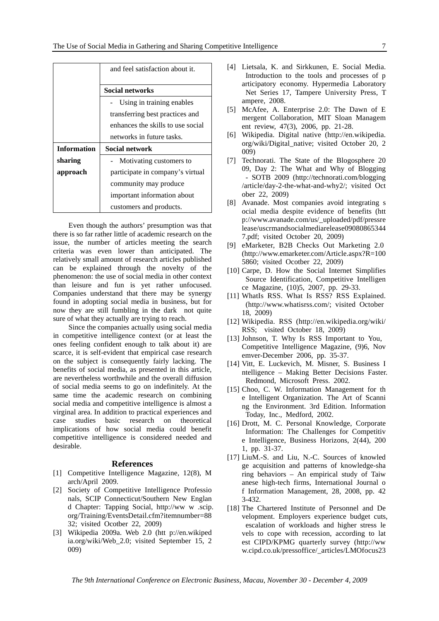|                    | and feel satisfaction about it.   |  |
|--------------------|-----------------------------------|--|
|                    | <b>Social networks</b>            |  |
|                    | Using in training enables         |  |
|                    | transferring best practices and   |  |
|                    | enhances the skills to use social |  |
|                    | networks in future tasks.         |  |
| <b>Information</b> | <b>Social network</b>             |  |
| sharing            | - Motivating customers to         |  |
| approach           | participate in company's virtual  |  |
|                    | community may produce             |  |
|                    | important information about       |  |
|                    | customers and products.           |  |

Even though the authors' presumption was that there is so far rather little of academic research on the issue, the number of articles meeting the search criteria was even lower than anticipated. The relatively small amount of research articles published can be explained through the novelty of the phenomenon: the use of social media in other context than leisure and fun is yet rather unfocused. Companies understand that there may be synergy found in adopting social media in business, but for now they are still fumbling in the dark not quite sure of what they actually are trying to reach.

Since the companies actually using social media in competitive intelligence context (or at least the ones feeling confident enough to talk about it) are scarce, it is self-evident that empirical case research on the subject is consequently fairly lacking. The benefits of social media, as presented in this article, are nevertheless worthwhile and the overall diffusion of social media seems to go on indefinitely. At the same time the academic research on combining social media and competitive intelligence is almost a virginal area. In addition to practical experiences and case studies basic research on theoretical implications of how social media could benefit competitive intelligence is considered needed and desirable.

#### **References**

- [1] Competitive Intelligence Magazine, 12(8), M arch/April 2009.
- [2] Society of Competitive Intelligence Professio nals, SCIP Connecticut/Southern New Englan d Chapter: Tapping Social, http://ww w .scip. org/Training/EventsDetail.cfm?itemnumber=88 32; visited Ocotber 22, 2009)
- [3] Wikipedia 2009a. Web 2.0 (htt p://en.wikiped ia.org/wiki/Web\_2.0; visited September 15, 2 009)
- [4] Lietsala, K. and Sirkkunen, E. Social Media. Introduction to the tools and processes of p articipatory economy. Hypermedia Laboratory Net Series 17, Tampere University Press, T ampere, 2008.
- [5] McAfee, A. Enterprise 2.0: The Dawn of E mergent Collaboration, MIT Sloan Managem ent review, 47(3), 2006, pp. 21-28.
- [6] Wikipedia. Digital native (http://en.wikipedia. org/wiki/Digital\_native; visited October 20, 2 009)
- [7] Technorati. The State of the Blogosphere 20 09, Day 2: The What and Why of Blogging - SOTB 2009 (http://technorati.com/blogging /article/day-2-the-what-and-why2/; visited Oct ober 22, 2009)
- [8] Avanade. Most companies avoid integrating s ocial media despite evidence of benefits (htt p://www.avanade.com/us/\_uploaded/pdf/pressre lease/uscrmandsocialmediarelease09080865344 7.pdf; visited October 20, 2009)
- [9] eMarketer, B2B Checks Out Marketing 2.0 (http://www.emarketer.com/Article.aspx?R=100 5860; visited Ocotber 22, 2009)
- [10] Carpe, D. How the Social Internet Simplifies Source Identification, Competitive Intelligen ce Magazine, (10)5, 2007, pp. 29-33.
- [11] WhatIs RSS. What Is RSS? RSS Explained. (http://www.whatisrss.com/; visited October 18, 2009)
- [12] Wikipedia. RSS (http://en.wikipedia.org/wiki/ RSS; visited October 18, 2009)
- [13] Johnson, T. Why Is RSS Important to You, Competitive Intelligence Magazine, (9)6, Nov emver-December 2006, pp. 35-37.
- [14] Vitt, E. Luckevich, M. Misner, S. Business I ntelligence – Making Better Decisions Faster. Redmond, Microsoft Press. 2002.
- [15] Choo, C. W. Information Management for the e Intelligent Organization. The Art of Scanni ng the Environment. 3rd Edition. Information Today, Inc., Medford, 2002.
- [16] Drott, M. C. Personal Knowledge, Corporate Information: The Challenges for Competitiv e Intelligence, Business Horizons, 2(44), 200 1, pp. 31-37.
- [17] LiuM.-S. and Liu, N.-C. Sources of knowled ge acquisition and patterns of knowledge-sha ring behaviors – An empirical study of Taiw anese high-tech firms, International Journal o f Information Management, 28, 2008, pp. 42 3-432.
- [18] The Chartered Institute of Personnel and De velopment. Employers experience budget cuts, escalation of workloads and higher stress le vels to cope with recession, according to lat est CIPD/KPMG quarterly survey (http://ww w.cipd.co.uk/pressoffice/\_articles/LMOfocus23